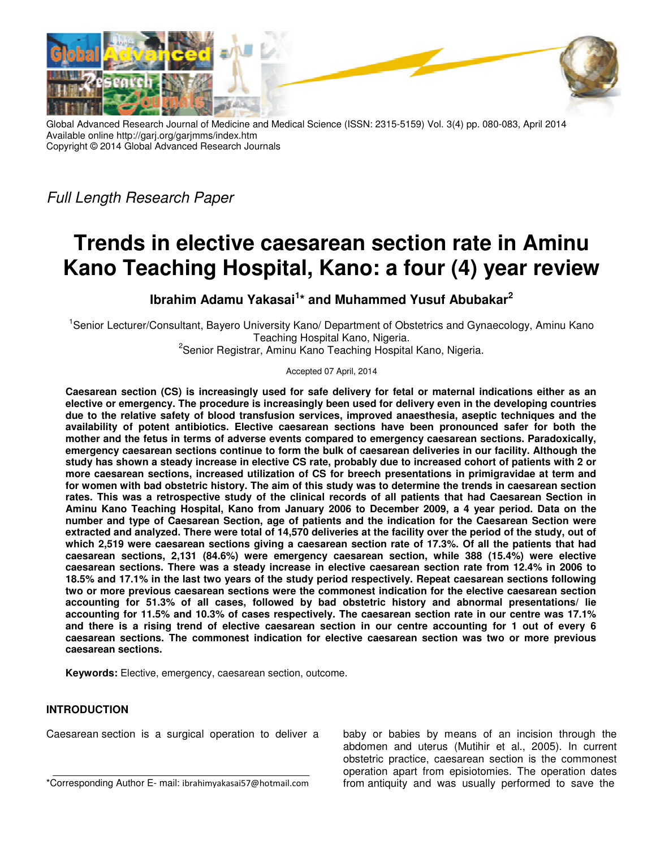

Global Advanced Research Journal of Medicine and Medical Science (ISSN: 2315-5159) Vol. 3(4) pp. 080-083, April 2014 Available online http://garj.org/garjmms/index.htm Copyright © 2014 Global Advanced Research Journals

Full Length Research Paper

# **Trends in elective caesarean section rate in Aminu Kano Teaching Hospital, Kano: a four (4) year review**

**Ibrahim Adamu Yakasai<sup>1</sup> \* and Muhammed Yusuf Abubakar<sup>2</sup>**

<sup>1</sup>Senior Lecturer/Consultant, Bayero University Kano/ Department of Obstetrics and Gynaecology, Aminu Kano Teaching Hospital Kano, Nigeria.

<sup>2</sup>Senior Registrar, Aminu Kano Teaching Hospital Kano, Nigeria.

Accepted 07 April, 2014

**Caesarean section (CS) is increasingly used for safe delivery for fetal or maternal indications either as an elective or emergency. The procedure is increasingly been used for delivery even in the developing countries due to the relative safety of blood transfusion services, improved anaesthesia, aseptic techniques and the availability of potent antibiotics. Elective caesarean sections have been pronounced safer for both the mother and the fetus in terms of adverse events compared to emergency caesarean sections. Paradoxically, emergency caesarean sections continue to form the bulk of caesarean deliveries in our facility. Although the study has shown a steady increase in elective CS rate, probably due to increased cohort of patients with 2 or more caesarean sections, increased utilization of CS for breech presentations in primigravidae at term and for women with bad obstetric history. The aim of this study was to determine the trends in caesarean section rates. This was a retrospective study of the clinical records of all patients that had Caesarean Section in Aminu Kano Teaching Hospital, Kano from January 2006 to December 2009, a 4 year period. Data on the number and type of Caesarean Section, age of patients and the indication for the Caesarean Section were extracted and analyzed. There were total of 14,570 deliveries at the facility over the period of the study, out of which 2,519 were caesarean sections giving a caesarean section rate of 17.3%. Of all the patients that had caesarean sections, 2,131 (84.6%) were emergency caesarean section, while 388 (15.4%) were elective caesarean sections. There was a steady increase in elective caesarean section rate from 12.4% in 2006 to 18.5% and 17.1% in the last two years of the study period respectively. Repeat caesarean sections following two or more previous caesarean sections were the commonest indication for the elective caesarean section accounting for 51.3% of all cases, followed by bad obstetric history and abnormal presentations/ lie accounting for 11.5% and 10.3% of cases respectively. The caesarean section rate in our centre was 17.1% and there is a rising trend of elective caesarean section in our centre accounting for 1 out of every 6 caesarean sections. The commonest indication for elective caesarean section was two or more previous caesarean sections.** 

**Keywords:** Elective, emergency, caesarean section, outcome.

## **INTRODUCTION**

Caesarean section is a surgical operation to deliver a

baby or babies by means of an incision through the abdomen and uterus (Mutihir et al., 2005). In current obstetric practice, caesarean section is the commonest operation apart from episiotomies. The operation dates from antiquity and was usually performed to save the

<sup>\*</sup>Corresponding Author E- mail: ibrahimyakasai57@hotmail.com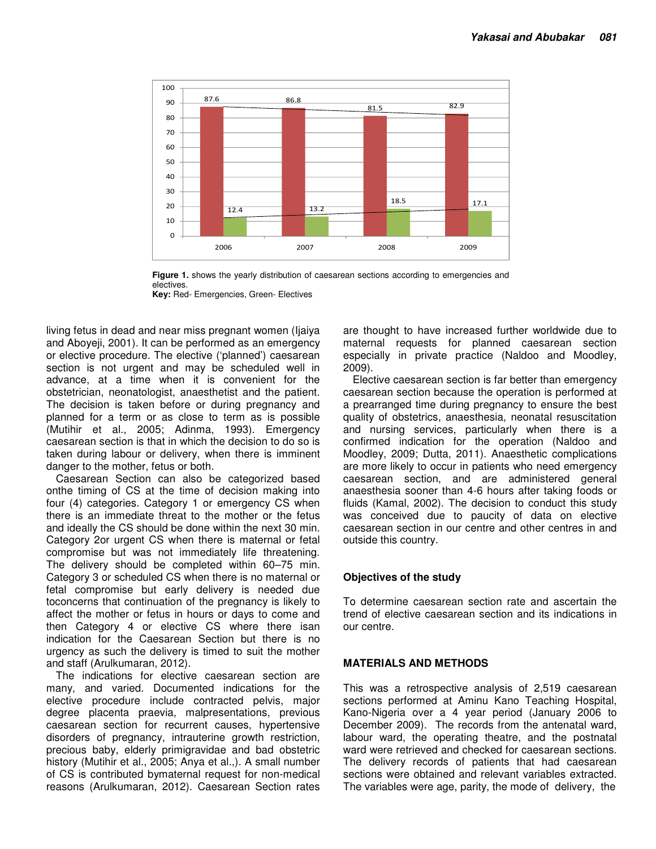

**Figure 1.** shows the yearly distribution of caesarean sections according to emergencies and electives.

**Key:** Red- Emergencies, Green- Electives

living fetus in dead and near miss pregnant women (Ijaiya and Aboyeji, 2001). It can be performed as an emergency or elective procedure. The elective ('planned') caesarean section is not urgent and may be scheduled well in advance, at a time when it is convenient for the obstetrician, neonatologist, anaesthetist and the patient. The decision is taken before or during pregnancy and planned for a term or as close to term as is possible (Mutihir et al., 2005; Adinma, 1993). Emergency caesarean section is that in which the decision to do so is taken during labour or delivery, when there is imminent danger to the mother, fetus or both.

Caesarean Section can also be categorized based onthe timing of CS at the time of decision making into four (4) categories. Category 1 or emergency CS when there is an immediate threat to the mother or the fetus and ideally the CS should be done within the next 30 min. Category 2or urgent CS when there is maternal or fetal compromise but was not immediately life threatening. The delivery should be completed within 60–75 min. Category 3 or scheduled CS when there is no maternal or fetal compromise but early delivery is needed due toconcerns that continuation of the pregnancy is likely to affect the mother or fetus in hours or days to come and then Category 4 or elective CS where there isan indication for the Caesarean Section but there is no urgency as such the delivery is timed to suit the mother and staff (Arulkumaran, 2012).

The indications for elective caesarean section are many, and varied. Documented indications for the elective procedure include contracted pelvis, major degree placenta praevia, malpresentations, previous caesarean section for recurrent causes, hypertensive disorders of pregnancy, intrauterine growth restriction, precious baby, elderly primigravidae and bad obstetric history (Mutihir et al., 2005; Anya et al.,). A small number of CS is contributed bymaternal request for non-medical reasons (Arulkumaran, 2012). Caesarean Section rates are thought to have increased further worldwide due to maternal requests for planned caesarean section especially in private practice (Naldoo and Moodley, 2009).

Elective caesarean section is far better than emergency caesarean section because the operation is performed at a prearranged time during pregnancy to ensure the best quality of obstetrics, anaesthesia, neonatal resuscitation and nursing services, particularly when there is a confirmed indication for the operation (Naldoo and Moodley, 2009; Dutta, 2011). Anaesthetic complications are more likely to occur in patients who need emergency caesarean section, and are administered general anaesthesia sooner than 4-6 hours after taking foods or fluids (Kamal, 2002). The decision to conduct this study was conceived due to paucity of data on elective caesarean section in our centre and other centres in and outside this country.

#### **Objectives of the study**

To determine caesarean section rate and ascertain the trend of elective caesarean section and its indications in our centre.

#### **MATERIALS AND METHODS**

This was a retrospective analysis of 2,519 caesarean sections performed at Aminu Kano Teaching Hospital, Kano-Nigeria over a 4 year period (January 2006 to December 2009). The records from the antenatal ward, labour ward, the operating theatre, and the postnatal ward were retrieved and checked for caesarean sections. The delivery records of patients that had caesarean sections were obtained and relevant variables extracted. The variables were age, parity, the mode of delivery, the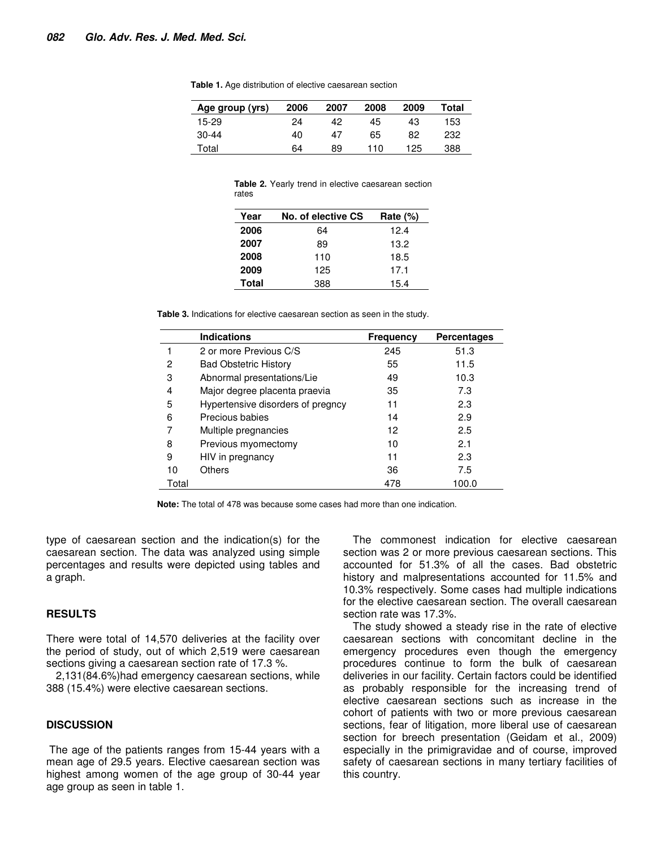| Age group (yrs) | 2006 | 2007 | 2008 | 2009 | Total |
|-----------------|------|------|------|------|-------|
| 15-29           | 24   | 42   | 45   | 43   | 153   |
| 30-44           | 40   | 47   | 65   | 82   | 232   |
| Total           | 64   | 89   | 110  | 125  | 388   |

**Table 1.** Age distribution of elective caesarean section

|       |  |  | <b>Table 2.</b> Yearly trend in elective caesarean section |  |
|-------|--|--|------------------------------------------------------------|--|
| rates |  |  |                                                            |  |

| Year  | No. of elective CS | Rate $(\%)$ |
|-------|--------------------|-------------|
| 2006  | 64                 | 12.4        |
| 2007  | 89                 | 13.2        |
| 2008  | 110                | 18.5        |
| 2009  | 125                | 17.1        |
| Total | 388                | 15.4        |

**Table 3.** Indications for elective caesarean section as seen in the study.

|       | <b>Indications</b>                | <b>Frequency</b> | <b>Percentages</b> |
|-------|-----------------------------------|------------------|--------------------|
|       | 2 or more Previous C/S            | 245              | 51.3               |
| 2     | <b>Bad Obstetric History</b>      | 55               | 11.5               |
| 3     | Abnormal presentations/Lie        | 49               | 10.3               |
| 4     | Major degree placenta praevia     | 35               | 7.3                |
| 5     | Hypertensive disorders of pregncy | 11               | 2.3                |
| 6     | Precious babies                   | 14               | 2.9                |
|       | Multiple pregnancies              | 12               | 2.5                |
| 8     | Previous myomectomy               | 10               | 2.1                |
| 9     | HIV in pregnancy                  | 11               | 2.3                |
| 10    | Others                            | 36               | 7.5                |
| Total |                                   | 478              | 100.0              |

**Note:** The total of 478 was because some cases had more than one indication.

type of caesarean section and the indication(s) for the caesarean section. The data was analyzed using simple percentages and results were depicted using tables and a graph.

### **RESULTS**

There were total of 14,570 deliveries at the facility over the period of study, out of which 2,519 were caesarean sections giving a caesarean section rate of 17.3 %.

2,131(84.6%)had emergency caesarean sections, while 388 (15.4%) were elective caesarean sections.

#### **DISCUSSION**

 The age of the patients ranges from 15-44 years with a mean age of 29.5 years. Elective caesarean section was highest among women of the age group of 30-44 year age group as seen in table 1.

The commonest indication for elective caesarean section was 2 or more previous caesarean sections. This accounted for 51.3% of all the cases. Bad obstetric history and malpresentations accounted for 11.5% and 10.3% respectively. Some cases had multiple indications for the elective caesarean section. The overall caesarean section rate was 17.3%.

The study showed a steady rise in the rate of elective caesarean sections with concomitant decline in the emergency procedures even though the emergency procedures continue to form the bulk of caesarean deliveries in our facility. Certain factors could be identified as probably responsible for the increasing trend of elective caesarean sections such as increase in the cohort of patients with two or more previous caesarean sections, fear of litigation, more liberal use of caesarean section for breech presentation (Geidam et al., 2009) especially in the primigravidae and of course, improved safety of caesarean sections in many tertiary facilities of this country.